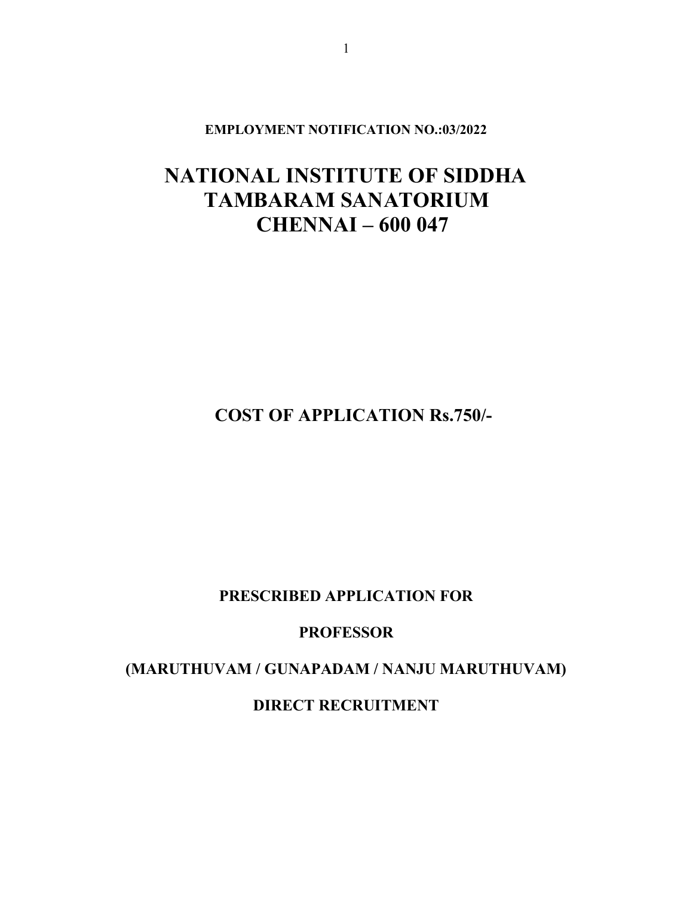EMPLOYMENT NOTIFICATION NO.:03/2022

## NATIONAL INSTITUTE OF SIDDHA TAMBARAM SANATORIUM CHENNAI – 600 047

COST OF APPLICATION Rs.750/-

PRESCRIBED APPLICATION FOR

PROFESSOR

(MARUTHUVAM / GUNAPADAM / NANJU MARUTHUVAM)

DIRECT RECRUITMENT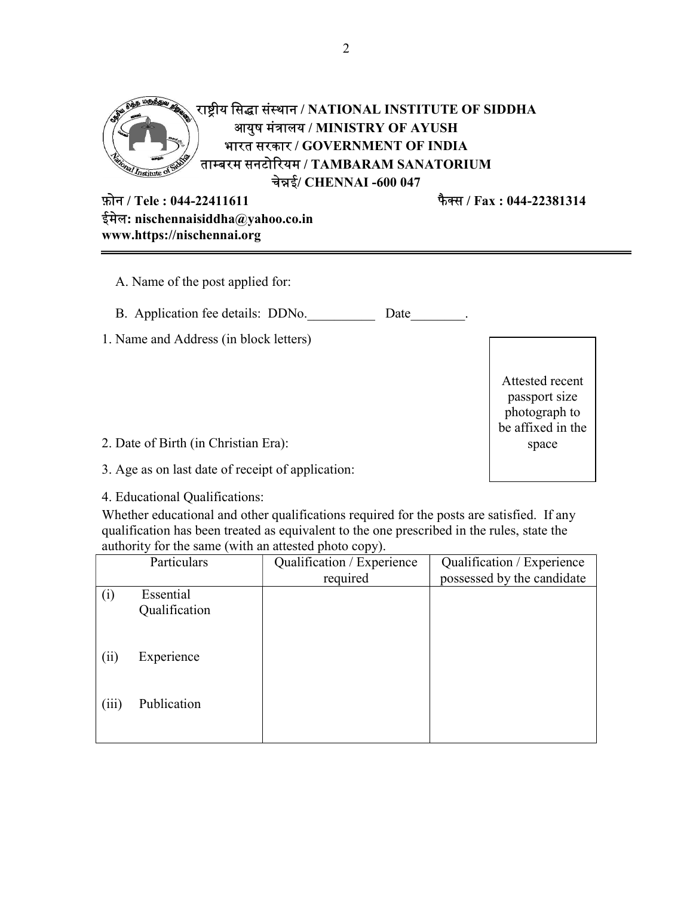

फैक्स / Fax : 044-22381314

| फ़ोन / Tele : 044-22411611         |
|------------------------------------|
| ईमेल: nischennaisiddha@yahoo.co.in |
| www.https://nischennai.org         |

| A. Name of the post applied for:          |                                                                        |
|-------------------------------------------|------------------------------------------------------------------------|
| B. Application fee details: DDNo.<br>Date |                                                                        |
| 1. Name and Address (in block letters)    |                                                                        |
|                                           | Attested recent<br>passport size<br>photograph to<br>be affixed in the |
| 2. Date of Birth (in Christian Era):      | space                                                                  |

3. Age as on last date of receipt of application:

4. Educational Qualifications:

Whether educational and other qualifications required for the posts are satisfied. If any qualification has been treated as equivalent to the one prescribed in the rules, state the authority for the same (with an attested photo copy).

|       | Particulars   | Qualification / Experience | Qualification / Experience |
|-------|---------------|----------------------------|----------------------------|
|       |               | required                   | possessed by the candidate |
| (i)   | Essential     |                            |                            |
|       | Qualification |                            |                            |
| (ii)  | Experience    |                            |                            |
| (iii) | Publication   |                            |                            |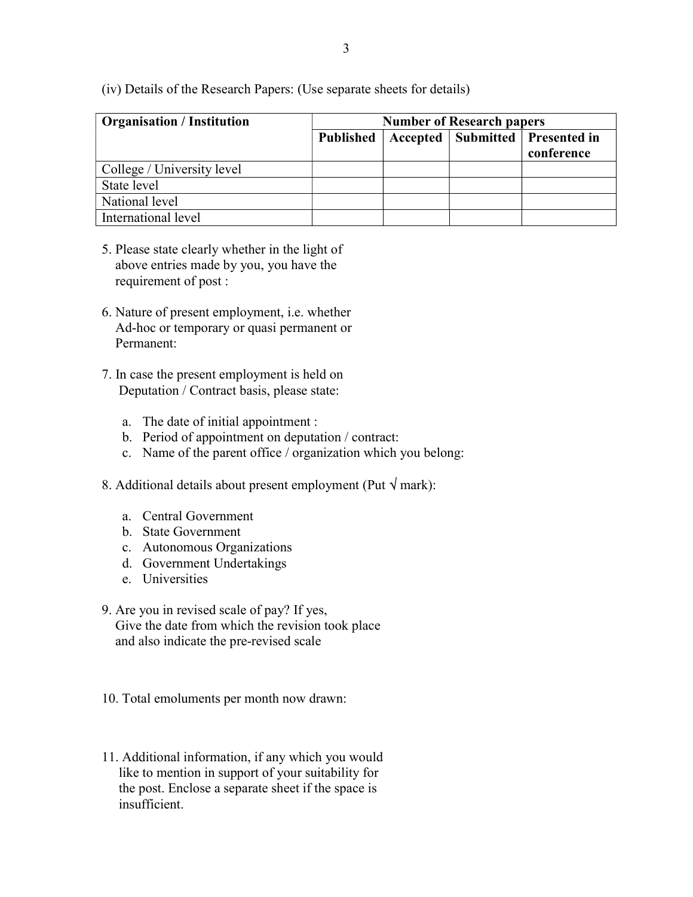| <b>Organisation / Institution</b> | <b>Number of Research papers</b> |  |  |                                                   |
|-----------------------------------|----------------------------------|--|--|---------------------------------------------------|
|                                   | <b>Published</b>                 |  |  | Accepted   Submitted   Presented in<br>conference |
| College / University level        |                                  |  |  |                                                   |
| State level                       |                                  |  |  |                                                   |
| National level                    |                                  |  |  |                                                   |
| International level               |                                  |  |  |                                                   |

(iv) Details of the Research Papers: (Use separate sheets for details)

- 5. Please state clearly whether in the light of above entries made by you, you have the requirement of post :
- 6. Nature of present employment, i.e. whether Ad-hoc or temporary or quasi permanent or Permanent:
- 7. In case the present employment is held on Deputation / Contract basis, please state:
	- a. The date of initial appointment :
	- b. Period of appointment on deputation / contract:
	- c. Name of the parent office / organization which you belong:
- 8. Additional details about present employment (Put  $\sqrt{m}$ ark):
	- a. Central Government
	- b. State Government
	- c. Autonomous Organizations
	- d. Government Undertakings
	- e. Universities
- 9. Are you in revised scale of pay? If yes, Give the date from which the revision took place and also indicate the pre-revised scale
- 10. Total emoluments per month now drawn:
- 11. Additional information, if any which you would like to mention in support of your suitability for the post. Enclose a separate sheet if the space is insufficient.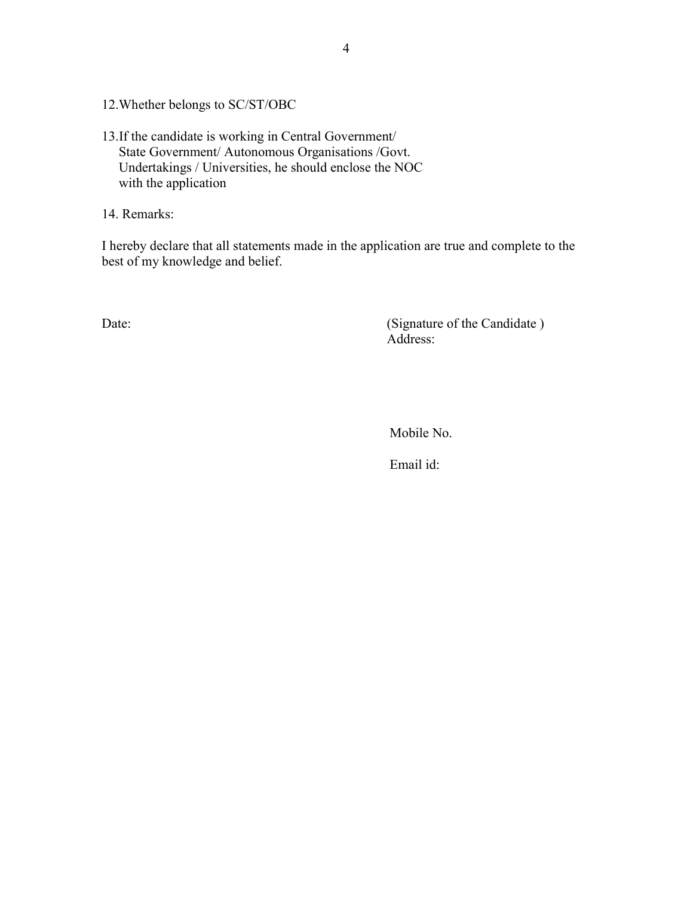12.Whether belongs to SC/ST/OBC

13.If the candidate is working in Central Government/ State Government/ Autonomous Organisations /Govt. Undertakings / Universities, he should enclose the NOC with the application

14. Remarks:

I hereby declare that all statements made in the application are true and complete to the best of my knowledge and belief.

Date: (Signature of the Candidate) Address:

Mobile No.

Email id: